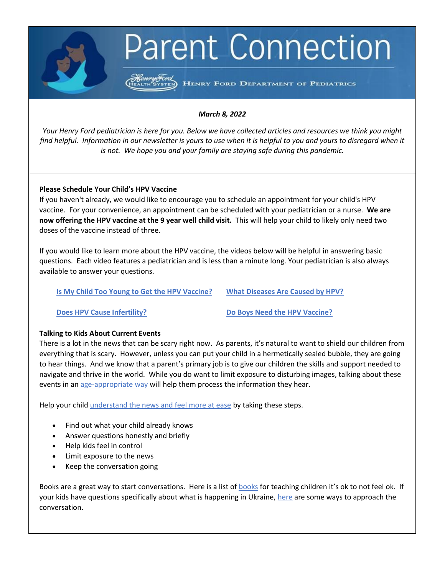# **Parent Connection**

HENRY FORD DEPARTMENT OF PEDIATRICS

# *March 8, 2022*

*Your Henry Ford pediatrician is here for you. Below we have collected articles and resources we think you might find helpful. Information in our newsletter is yours to use when it is helpful to you and yours to disregard when it is not. We hope you and your family are staying safe during this pandemic.*

# **Please Schedule Your Child's HPV Vaccine**

If you haven't already, we would like to encourage you to schedule an appointment for your child's HPV vaccine. For your convenience, an appointment can be scheduled with your pediatrician or a nurse. **We are now offering the HPV vaccine at the 9 year well child visit.** This will help your child to likely only need two doses of the vaccine instead of three.

If you would like to learn more about the HPV vaccine, the videos below will be helpful in answering basic questions. Each video features a pediatrician and is less than a minute long. Your pediatrician is also always available to answer your questions.

**[Is My Child Too Young to Get the HPV Vaccine?](https://www.youtube.com/watch?v=GDQvbqdxk8U) [What Diseases Are Caused by HPV?](https://www.youtube.com/watch?v=lHnZ13PvHcY)**

**[Does HPV Cause Infertility?](https://youtu.be/_ARYDWVIM8I) [Do Boys Need the HPV Vaccine?](https://www.youtube.com/watch?v=ISiJnEAGRWY)** 

# **Talking to Kids About Current Events**

There is a lot in the news that can be scary right now. As parents, it's natural to want to shield our children from everything that is scary. However, unless you can put your child in a hermetically sealed bubble, they are going to hear things. And we know that a parent's primary job is to give our children the skills and support needed to navigate and thrive in the world. While you do want to limit exposure to disturbing images, talking about these events in a[n age-appropriate way](https://www.mother.ly/parenting/how-to-talk-to-your-kids-about-difficult-world-eventsby-age/) will help them process the information they hear.

Help your child [understand the news and feel more at ease](https://kidshealth.org/en/parents/news.html#:~:text=Talk%20about%20current%20events%20with,conversation%20about%20non%2Dnews%20topics.) by taking these steps.

- Find out what your child already knows
- Answer questions honestly and briefly
- Help kids feel in control
- Limit exposure to the news
- Keep the conversation going

Books are a great way to start conversations. Here is a list o[f books](https://www.pbssocal.org/education/books-teaching-children-ok-not-feel-ok) for teaching children it's ok to not feel ok. If your kids have questions specifically about what is happening in Ukraine, [here](https://www.pbssocal.org/education/how-to-talk-to-kids-about-the-ukraine-invasion) are some ways to approach the conversation.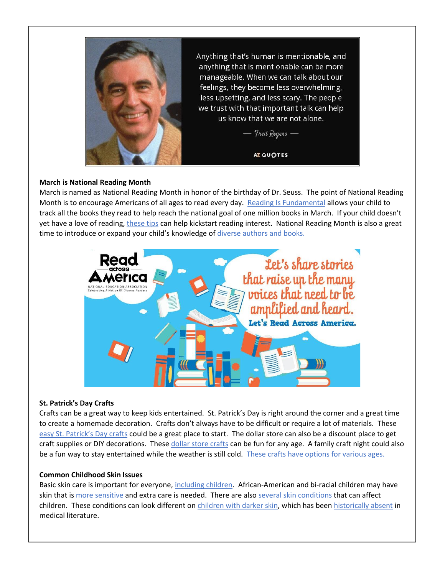

Anything that's human is mentionable, and anything that is mentionable can be more manageable. When we can talk about our feelings, they become less overwhelming, less upsetting, and less scary. The people we trust with that important talk can help us know that we are not alone.

Fred Rogers -

AZ QUOTES

# **March is National Reading Month**

March is named as National Reading Month in honor of the birthday of Dr. Seuss. The point of National Reading Month is to encourage Americans of all ages to read every day. [Reading Is Fundamental](https://www.rif.org/millionbookmarch) allows your child to track all the books they read to help reach the national goal of one million books in March. If your child doesn't yet have a love of reading[, these tips](https://theliteracyladies.net/march-is-reading-month/) can help kickstart reading interest. National Reading Month is also a great time to introduce or expand your child's knowledge of diverse authors and books.



# **St. Patrick's Day Crafts**

Crafts can be a great way to keep kids entertained. St. Patrick's Day is right around the corner and a great time to create a homemade decoration. Crafts don't always have to be difficult or require a lot of materials. These [easy St. Patrick's Day crafts](https://www.craftymorning.com/easy-st-patricks-day-crafts-kids/) could be a great place to start. The dollar store can also be a discount place to get craft supplies or DIY decorations. Thes[e dollar store crafts](https://www.prudentpennypincher.com/dollar-store-st-patricks-day-crafts/) can be fun for any age. A family craft night could also be a fun way to stay entertained while the weather is still cold. These crafts have options for various ages.

# **Common Childhood Skin Issues**

Basic skin care is important for everyone[, including children.](https://www.akronchildrens.org/kidshealth/en/kids/skin-care.html) African-American and bi-racial children may have skin that i[s more sensitive](https://www.babycenter.com/baby/bathing-body-care/african-american-babies-skin-care_10330459) and extra care is needed. There are als[o several skin conditions](https://www.webmd.com/children/ss/slideshow-common-childhood-skin-problems) that can affect children. These conditions can look different on [children with darker skin,](https://www.contemporarypediatrics.com/view/common-pediatric-disorders-skin-color) which has bee[n historically absent](https://www.npr.org/2021/03/31/983051020/meet-the-dermatologists-advancing-better-care-for-skin-of-color) in medical literature.